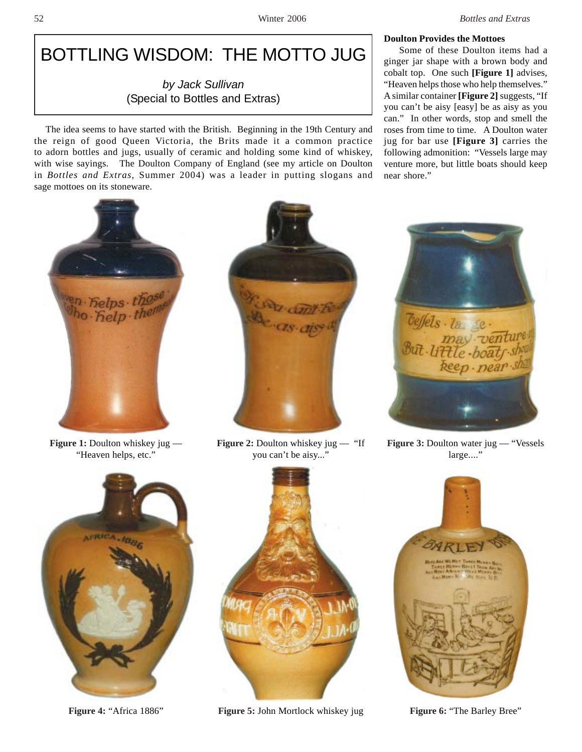# BOTTLING WISDOM: THE MOTTO JUG

# *by Jack Sullivan* (Special to Bottles and Extras)

The idea seems to have started with the British. Beginning in the 19th Century and the reign of good Queen Victoria, the Brits made it a common practice to adorn bottles and jugs, usually of ceramic and holding some kind of whiskey, with wise sayings. The Doulton Company of England (see my article on Doulton in *Bottles and Extras*, Summer 2004) was a leader in putting slogans and sage mottoes on its stoneware.



**Figure 1:** Doulton whiskey jug — "Heaven helps, etc."





**Figure 2:** Doulton whiskey jug — "If you can't be aisy..."



**Figure 4:** "Africa 1886" **Figure 5: John Mortlock whiskey jug Figure 6: "The Barley Bree"** 

## **Doulton Provides the Mottoes**

 Some of these Doulton items had a ginger jar shape with a brown body and cobalt top. One such **[Figure 1]** advises, "Heaven helps those who help themselves." A similar container **[Figure 2]** suggests, "If you can't be aisy [easy] be as aisy as you can." In other words, stop and smell the roses from time to time. A Doulton water jug for bar use **[Figure 3]** carries the following admonition: "Vessels large may venture more, but little boats should keep near shore."



**Figure 3: Doulton water jug — "Vessels**" large...."

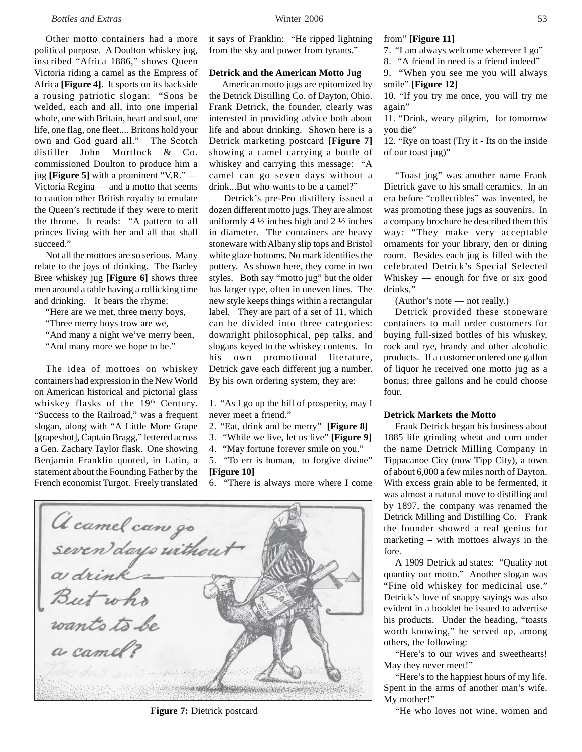Other motto containers had a more political purpose. A Doulton whiskey jug, inscribed "Africa 1886," shows Queen Victoria riding a camel as the Empress of Africa **[Figure 4]**. It sports on its backside a rousing patriotic slogan: "Sons be welded, each and all, into one imperial whole, one with Britain, heart and soul, one life, one flag, one fleet.... Britons hold your own and God guard all." The Scotch distiller John Mortlock & Co. commissioned Doulton to produce him a jug **[Figure 5]** with a prominent "V.R." — Victoria Regina — and a motto that seems to caution other British royalty to emulate the Queen's rectitude if they were to merit the throne. It reads: "A pattern to all princes living with her and all that shall succeed."

Not all the mottoes are so serious. Many relate to the joys of drinking. The Barley Bree whiskey jug **[Figure 6]** shows three men around a table having a rollicking time and drinking. It bears the rhyme:

- "Here are we met, three merry boys,
- "Three merry boys trow are we,
- "And many a night we've merry been,
- "And many more we hope to be."

The idea of mottoes on whiskey containers had expression in the New World on American historical and pictorial glass whiskey flasks of the 19<sup>th</sup> Century. "Success to the Railroad," was a frequent slogan, along with "A Little More Grape [grapeshot], Captain Bragg," lettered across a Gen. Zachary Taylor flask. One showing Benjamin Franklin quoted, in Latin, a statement about the Founding Father by the French economist Turgot. Freely translated

it says of Franklin: "He ripped lightning from the sky and power from tyrants."

#### **Detrick and the American Motto Jug**

 American motto jugs are epitomized by the Detrick Distilling Co. of Dayton, Ohio. Frank Detrick, the founder, clearly was interested in providing advice both about life and about drinking. Shown here is a Detrick marketing postcard **[Figure 7]** showing a camel carrying a bottle of whiskey and carrying this message: "A camel can go seven days without a drink...But who wants to be a camel?"

 Detrick's pre-Pro distillery issued a dozen different motto jugs. They are almost uniformly 4  $\frac{1}{2}$  inches high and 2  $\frac{1}{2}$  inches in diameter. The containers are heavy stoneware with Albany slip tops and Bristol white glaze bottoms. No mark identifies the pottery. As shown here, they come in two styles. Both say "motto jug" but the older has larger type, often in uneven lines. The new style keeps things within a rectangular label. They are part of a set of 11, which can be divided into three categories: downright philosophical, pep talks, and slogans keyed to the whiskey contents. In his own promotional literature, Detrick gave each different jug a number. By his own ordering system, they are:

1. "As I go up the hill of prosperity, may I never meet a friend."

- 2. "Eat, drink and be merry" **[Figure 8]**
- 3. "While we live, let us live" **[Figure 9]**
- 4. "May fortune forever smile on you."

5. "To err is human, to forgive divine" **[Figure 10]**

6. "There is always more where I come

A camel can go<br>seven days without But who<br>But who a camel? Secondo dura cine

#### from" **[Figure 11]**

7. "I am always welcome wherever I go"

8. "A friend in need is a friend indeed"

9. "When you see me you will always smile" **[Figure 12]**

10. "If you try me once, you will try me again"

11. "Drink, weary pilgrim, for tomorrow you die"

12. "Rye on toast (Try it - Its on the inside of our toast jug)"

"Toast jug" was another name Frank Dietrick gave to his small ceramics. In an era before "collectibles" was invented, he was promoting these jugs as souvenirs. In a company brochure he described them this way: "They make very acceptable ornaments for your library, den or dining room. Besides each jug is filled with the celebrated Detrick's Special Selected Whiskey — enough for five or six good drinks."

(Author's note — not really.)

Detrick provided these stoneware containers to mail order customers for buying full-sized bottles of his whiskey, rock and rye, brandy and other alcoholic products. If a customer ordered one gallon of liquor he received one motto jug as a bonus; three gallons and he could choose four.

#### **Detrick Markets the Motto**

Frank Detrick began his business about 1885 life grinding wheat and corn under the name Detrick Milling Company in Tippacanoe City (now Tipp City), a town of about 6,000 a few miles north of Dayton. With excess grain able to be fermented, it was almost a natural move to distilling and by 1897, the company was renamed the Detrick Milling and Distilling Co. Frank the founder showed a real genius for marketing – with mottoes always in the fore.

A 1909 Detrick ad states: "Quality not quantity our motto." Another slogan was "Fine old whiskey for medicinal use." Detrick's love of snappy sayings was also evident in a booklet he issued to advertise his products. Under the heading, "toasts worth knowing," he served up, among others, the following:

"Here's to our wives and sweethearts! May they never meet!"

"Here's to the happiest hours of my life. Spent in the arms of another man's wife. My mother!"

**Figure 7:** Dietrick postcard Terminal Control of the who loves not wine, women and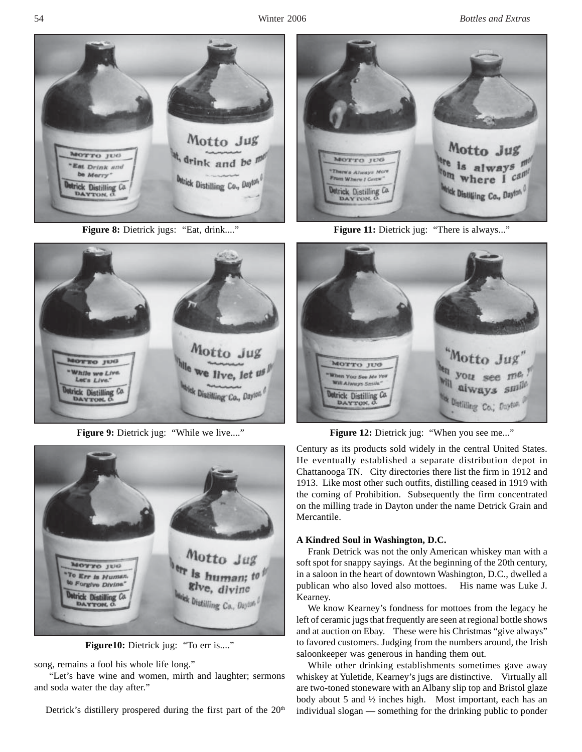54 Winter 2006 *Bottles and Extras*



Figure 8: Dietrick jugs: "Eat, drink...."



Figure 9: Dietrick jug: "While we live...."



**Figure10:** Dietrick jug: "To err is...."

song, remains a fool his whole life long."

 "Let's have wine and women, mirth and laughter; sermons and soda water the day after."

Detrick's distillery prospered during the first part of the  $20<sup>th</sup>$ 



**Figure 11:** Dietrick jug: "There is always..."



Figure 12: Dietrick jug: "When you see me..."

Century as its products sold widely in the central United States. He eventually established a separate distribution depot in Chattanooga TN. City directories there list the firm in 1912 and 1913. Like most other such outfits, distilling ceased in 1919 with the coming of Prohibition. Subsequently the firm concentrated on the milling trade in Dayton under the name Detrick Grain and Mercantile.

### **A Kindred Soul in Washington, D.C.**

Frank Detrick was not the only American whiskey man with a soft spot for snappy sayings. At the beginning of the 20th century, in a saloon in the heart of downtown Washington, D.C., dwelled a publican who also loved also mottoes. His name was Luke J. Kearney.

We know Kearney's fondness for mottoes from the legacy he left of ceramic jugs that frequently are seen at regional bottle shows and at auction on Ebay. These were his Christmas "give always" to favored customers. Judging from the numbers around, the Irish saloonkeeper was generous in handing them out.

While other drinking establishments sometimes gave away whiskey at Yuletide, Kearney's jugs are distinctive. Virtually all are two-toned stoneware with an Albany slip top and Bristol glaze body about 5 and ½ inches high. Most important, each has an individual slogan — something for the drinking public to ponder